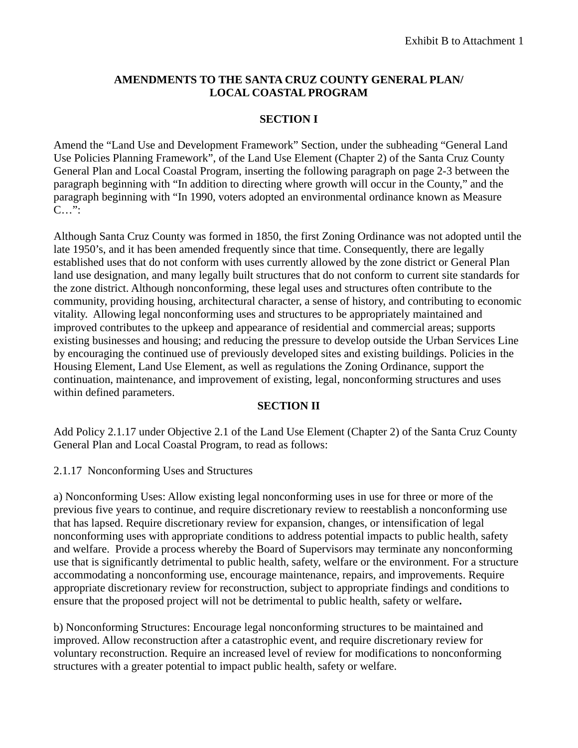#### **AMENDMENTS TO THE SANTA CRUZ COUNTY GENERAL PLAN/ LOCAL COASTAL PROGRAM**

### **SECTION I**

Amend the "Land Use and Development Framework" Section, under the subheading "General Land Use Policies Planning Framework", of the Land Use Element (Chapter 2) of the Santa Cruz County General Plan and Local Coastal Program, inserting the following paragraph on page 2-3 between the paragraph beginning with "In addition to directing where growth will occur in the County," and the paragraph beginning with "In 1990, voters adopted an environmental ordinance known as Measure C…":

Although Santa Cruz County was formed in 1850, the first Zoning Ordinance was not adopted until the late 1950's, and it has been amended frequently since that time. Consequently, there are legally established uses that do not conform with uses currently allowed by the zone district or General Plan land use designation, and many legally built structures that do not conform to current site standards for the zone district. Although nonconforming, these legal uses and structures often contribute to the community, providing housing, architectural character, a sense of history, and contributing to economic vitality. Allowing legal nonconforming uses and structures to be appropriately maintained and improved contributes to the upkeep and appearance of residential and commercial areas; supports existing businesses and housing; and reducing the pressure to develop outside the Urban Services Line by encouraging the continued use of previously developed sites and existing buildings. Policies in the Housing Element, Land Use Element, as well as regulations the Zoning Ordinance, support the continuation, maintenance, and improvement of existing, legal, nonconforming structures and uses within defined parameters.

#### **SECTION II**

Add Policy 2.1.17 under Objective 2.1 of the Land Use Element (Chapter 2) of the Santa Cruz County General Plan and Local Coastal Program, to read as follows:

#### 2.1.17 Nonconforming Uses and Structures

a) Nonconforming Uses: Allow existing legal nonconforming uses in use for three or more of the previous five years to continue, and require discretionary review to reestablish a nonconforming use that has lapsed. Require discretionary review for expansion, changes, or intensification of legal nonconforming uses with appropriate conditions to address potential impacts to public health, safety and welfare. Provide a process whereby the Board of Supervisors may terminate any nonconforming use that is significantly detrimental to public health, safety, welfare or the environment. For a structure accommodating a nonconforming use, encourage maintenance, repairs, and improvements. Require appropriate discretionary review for reconstruction, subject to appropriate findings and conditions to ensure that the proposed project will not be detrimental to public health, safety or welfare**.**

b) Nonconforming Structures: Encourage legal nonconforming structures to be maintained and improved. Allow reconstruction after a catastrophic event, and require discretionary review for voluntary reconstruction. Require an increased level of review for modifications to nonconforming structures with a greater potential to impact public health, safety or welfare.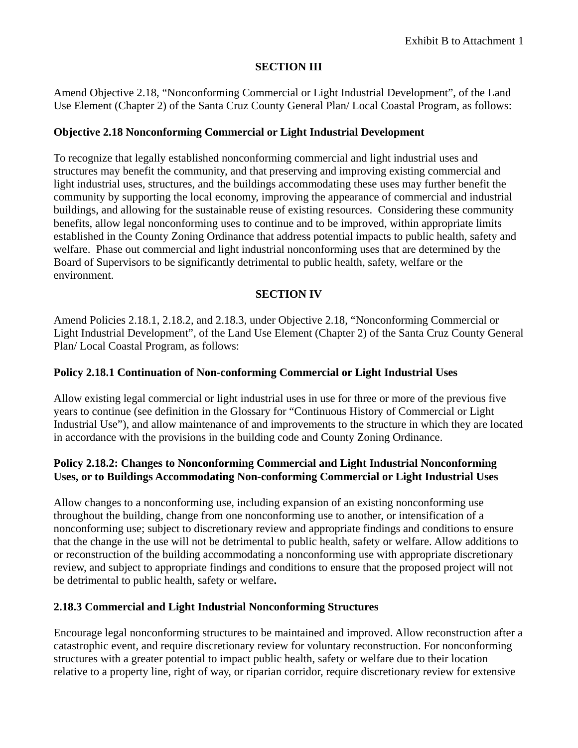### **SECTION III**

Amend Objective 2.18, "Nonconforming Commercial or Light Industrial Development", of the Land Use Element (Chapter 2) of the Santa Cruz County General Plan/ Local Coastal Program, as follows:

### **Objective 2.18 Nonconforming Commercial or Light Industrial Development**

To recognize that legally established nonconforming commercial and light industrial uses and structures may benefit the community, and that preserving and improving existing commercial and light industrial uses, structures, and the buildings accommodating these uses may further benefit the community by supporting the local economy, improving the appearance of commercial and industrial buildings, and allowing for the sustainable reuse of existing resources. Considering these community benefits, allow legal nonconforming uses to continue and to be improved, within appropriate limits established in the County Zoning Ordinance that address potential impacts to public health, safety and welfare. Phase out commercial and light industrial nonconforming uses that are determined by the Board of Supervisors to be significantly detrimental to public health, safety, welfare or the environment.

# **SECTION IV**

Amend Policies 2.18.1, 2.18.2, and 2.18.3, under Objective 2.18, "Nonconforming Commercial or Light Industrial Development", of the Land Use Element (Chapter 2) of the Santa Cruz County General Plan/ Local Coastal Program, as follows:

### **Policy 2.18.1 Continuation of Non-conforming Commercial or Light Industrial Uses**

Allow existing legal commercial or light industrial uses in use for three or more of the previous five years to continue (see definition in the Glossary for "Continuous History of Commercial or Light Industrial Use"), and allow maintenance of and improvements to the structure in which they are located in accordance with the provisions in the building code and County Zoning Ordinance.

#### **Policy 2.18.2: Changes to Nonconforming Commercial and Light Industrial Nonconforming Uses, or to Buildings Accommodating Non-conforming Commercial or Light Industrial Uses**

Allow changes to a nonconforming use, including expansion of an existing nonconforming use throughout the building, change from one nonconforming use to another, or intensification of a nonconforming use; subject to discretionary review and appropriate findings and conditions to ensure that the change in the use will not be detrimental to public health, safety or welfare. Allow additions to or reconstruction of the building accommodating a nonconforming use with appropriate discretionary review, and subject to appropriate findings and conditions to ensure that the proposed project will not be detrimental to public health, safety or welfare**.** 

#### **2.18.3 Commercial and Light Industrial Nonconforming Structures**

Encourage legal nonconforming structures to be maintained and improved. Allow reconstruction after a catastrophic event, and require discretionary review for voluntary reconstruction. For nonconforming structures with a greater potential to impact public health, safety or welfare due to their location relative to a property line, right of way, or riparian corridor, require discretionary review for extensive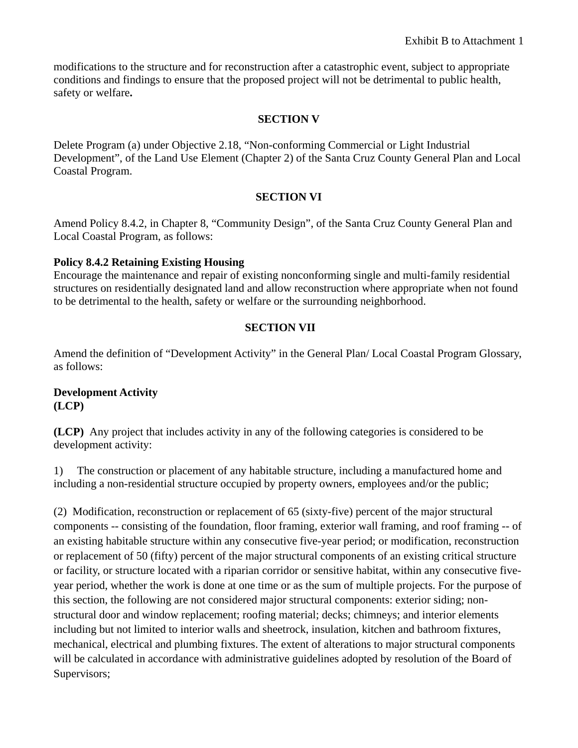modifications to the structure and for reconstruction after a catastrophic event, subject to appropriate conditions and findings to ensure that the proposed project will not be detrimental to public health, safety or welfare**.**

## **SECTION V**

Delete Program (a) under Objective 2.18, "Non-conforming Commercial or Light Industrial Development", of the Land Use Element (Chapter 2) of the Santa Cruz County General Plan and Local Coastal Program.

## **SECTION VI**

Amend Policy 8.4.2, in Chapter 8, "Community Design", of the Santa Cruz County General Plan and Local Coastal Program, as follows:

## **Policy 8.4.2 Retaining Existing Housing**

Encourage the maintenance and repair of existing nonconforming single and multi-family residential structures on residentially designated land and allow reconstruction where appropriate when not found to be detrimental to the health, safety or welfare or the surrounding neighborhood.

# **SECTION VII**

Amend the definition of "Development Activity" in the General Plan/ Local Coastal Program Glossary, as follows:

#### **Development Activity (LCP)**

**(LCP)** Any project that includes activity in any of the following categories is considered to be development activity:

1) The construction or placement of any habitable structure, including a manufactured home and including a non-residential structure occupied by property owners, employees and/or the public;

(2) Modification, reconstruction or replacement of 65 (sixty-five) percent of the major structural components -- consisting of the foundation, floor framing, exterior wall framing, and roof framing -- of an existing habitable structure within any consecutive five-year period; or modification, reconstruction or replacement of 50 (fifty) percent of the major structural components of an existing critical structure or facility, or structure located with a riparian corridor or sensitive habitat, within any consecutive fiveyear period, whether the work is done at one time or as the sum of multiple projects. For the purpose of this section, the following are not considered major structural components: exterior siding; nonstructural door and window replacement; roofing material; decks; chimneys; and interior elements including but not limited to interior walls and sheetrock, insulation, kitchen and bathroom fixtures, mechanical, electrical and plumbing fixtures. The extent of alterations to major structural components will be calculated in accordance with administrative guidelines adopted by resolution of the Board of Supervisors;